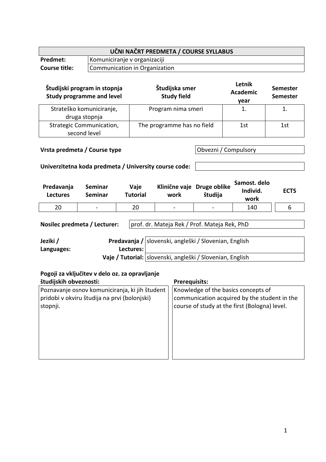| UČNI NAČRT PREDMETA / COURSE SYLLABUS |                               |  |
|---------------------------------------|-------------------------------|--|
| <b>Predmet:</b>                       | Komuniciranje v organizaciji  |  |
| <b>Course title:</b>                  | Communication in Organization |  |

| Študijski program in stopnja<br><b>Study programme and level</b> | Študijska smer<br><b>Study field</b> | Letnik<br><b>Academic</b><br>year | <b>Semester</b><br><b>Semester</b> |
|------------------------------------------------------------------|--------------------------------------|-----------------------------------|------------------------------------|
| Strateško komuniciranje,<br>druga stopnja                        | Program nima smeri                   |                                   |                                    |
| <b>Strategic Communication,</b><br>second level                  | The programme has no field           | 1st                               | 1st                                |

## **Vrsta predmeta / Course type Obvezni / Compulsory**

### **Univerzitetna koda predmeta / University course code:**

| Predavanja<br><b>Lectures</b> | Seminar<br><b>Seminar</b> | Vaje<br>Tutorial | work            | Klinične vaje Druge oblike<br>študija | Samost. delo<br>Individ.<br>work | <b>ECTS</b> |
|-------------------------------|---------------------------|------------------|-----------------|---------------------------------------|----------------------------------|-------------|
| 20                            | $\blacksquare$            | 20               | $\qquad \qquad$ | $\qquad \qquad$                       | 140                              |             |

**Nosilec predmeta / Lecturer:** | prof. dr. Mateja Rek / Prof. Mateja Rek, PhD

| Jeziki /   |             | Predavanja / slovenski, angleški / Slovenian, English       |
|------------|-------------|-------------------------------------------------------------|
| Languages: | Lectures: I |                                                             |
|            |             | Vaie / Tutorial:   slovenski, angleški / Slovenian, English |

#### **Pogoji za vključitev v delo oz. za opravljanje**

| študijskih obveznosti:                         | <b>Prerequisits:</b>                          |
|------------------------------------------------|-----------------------------------------------|
| Poznavanje osnov komuniciranja, ki jih študent | Knowledge of the basics concepts of           |
| pridobi v okviru študija na prvi (bolonjski)   | communication acquired by the student in the  |
| stopnji.                                       | course of study at the first (Bologna) level. |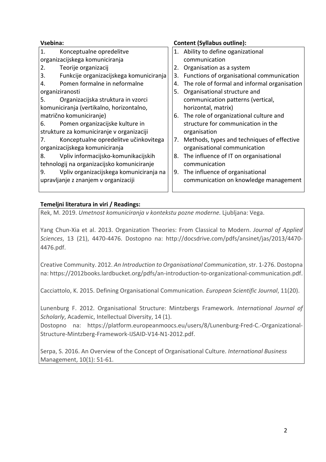| Vsebina:                                   |                                          |    | <b>Content (Syllabus outline):</b>           |
|--------------------------------------------|------------------------------------------|----|----------------------------------------------|
| 1.                                         | Konceptualne opredelitve                 |    | 1. Ability to define oganizational           |
|                                            | organizacijskega komuniciranja           |    | communication                                |
| 2.                                         | Teorije organizacij                      | 2. | Organisation as a system                     |
| 3.                                         | Funkcije organizacijskega komuniciranja  | 3. | Functions of organisational communication    |
| 4.                                         | Pomen formalne in neformalne             | 4. | The role of formal and informal organisation |
| organiziranosti                            |                                          | 5. | Organisational structure and                 |
| 5.                                         | Organizacijska struktura in vzorci       |    | communication patterns (vertical,            |
|                                            | komuniciranja (vertikalno, horizontalno, |    | horizontal, matrix)                          |
|                                            | matrično komuniciranje)                  | 6. | The role of organizational culture and       |
| 6.                                         | Pomen organizacijske kulture in          |    | structure for communication in the           |
| strukture za komuniciranje v organizaciji  |                                          |    | organisation                                 |
| 7.                                         | Konceptualne opredelitve učinkovitega    | 7. | Methods, types and techniques of effective   |
| organizacijskega komuniciranja             |                                          |    | organisational communication                 |
| 8.                                         | Vpliv informacijsko-komunikacijskih      | 8. | The influence of IT on organisational        |
| tehnologij na organizacijsko komuniciranje |                                          |    | communication                                |
| 9.                                         | Vpliv organizacijskega komuniciranja na  | 9. | The influence of organisational              |
| upravljanje z znanjem v organizaciji       |                                          |    | communication on knowledge management        |
|                                            |                                          |    |                                              |

# **Temeljni literatura in viri / Readings:**

Rek, M. 2019. *Umetnost komuniciranja v kontekstu pozne moderne.* Ljubljana: Vega.

Yang Chun-Xia et al. 2013. Organization Theories: From Classical to Modern. *Journal of Applied Sciences*, 13 (21), 4470-4476. Dostopno na: http://docsdrive.com/pdfs/ansinet/jas/2013/4470- 4476.pdf.

Creative Community. 2012. *An Introduction to Organisational Communication*, str. 1-276. Dostopna na: https://2012books.lardbucket.org/pdfs/an-introduction-to-organizational-communication.pdf.

Cacciattolo, K. 2015. Defining Organisational Communication. *European Scientific Journal*, 11(20).

Lunenburg F. 2012. Organisational Structure: Mintzbergs Framework. *International Journal of Scholarly*, Academic, Intellectual Diversity, 14 (1).

Dostopno na: https://platform.europeanmoocs.eu/users/8/Lunenburg-Fred-C.-Organizational-Structure-Mintzberg-Framework-IJSAID-V14-N1-2012.pdf.

Serpa, S. 2016. An Overview of the Concept of Organisational Culture. *International Business*  Management, 10(1): 51-61.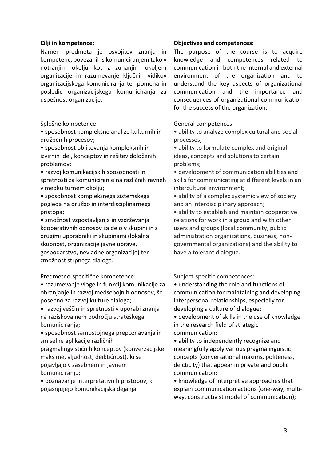| Cilji in kompetence:                                                                                                                                                                                                                                                                                                                                                                                                                                                                                                                                                                                                                                                                      | <b>Objectives and competences:</b>                                                                                                                                                                                                                                                                                                                                                                                                                                                                                                                                                                                                                                                                         |
|-------------------------------------------------------------------------------------------------------------------------------------------------------------------------------------------------------------------------------------------------------------------------------------------------------------------------------------------------------------------------------------------------------------------------------------------------------------------------------------------------------------------------------------------------------------------------------------------------------------------------------------------------------------------------------------------|------------------------------------------------------------------------------------------------------------------------------------------------------------------------------------------------------------------------------------------------------------------------------------------------------------------------------------------------------------------------------------------------------------------------------------------------------------------------------------------------------------------------------------------------------------------------------------------------------------------------------------------------------------------------------------------------------------|
| Namen predmeta je osvojitev znanja<br>in<br>kompetenc, povezanih s komuniciranjem tako v<br>notranjim okolju kot z zunanjim okoljem<br>organizacije in razumevanje ključnih vidikov<br>organizacijskega komuniciranja ter pomena in<br>posledic organizacijskega komuniciranja<br>za<br>uspešnost organizacije.                                                                                                                                                                                                                                                                                                                                                                           | The purpose of the course is to acquire<br>knowledge and competences<br>related<br>to<br>communication in both the internal and external<br>environment of the organization and<br>to<br>understand the key aspects of organizational<br>communication<br>and<br>the<br>importance<br>and<br>consequences of organizational communication<br>for the success of the organization.                                                                                                                                                                                                                                                                                                                          |
| Splošne kompetence:<br>• sposobnost kompleksne analize kulturnih in<br>družbenih procesov;<br>· sposobnost oblikovanja kompleksnih in<br>izvirnih idej, konceptov in rešitev določenih<br>problemov;<br>• razvoj komunikacijskih sposobnosti in<br>spretnosti za komuniciranje na različnih ravneh<br>v medkulturnem okolju;<br>· sposobnost kompleksnega sistemskega<br>pogleda na družbo in interdisciplinarnega<br>pristopa;<br>• zmožnost vzpostavljanja in vzdrževanja<br>kooperativnih odnosov za delo v skupini in z<br>drugimi uporabniki in skupinami (lokalna<br>skupnost, organizacije javne uprave,<br>gospodarstvo, nevladne organizacije) ter<br>zmožnost strpnega dialoga. | General competences:<br>• ability to analyze complex cultural and social<br>processes;<br>· ability to formulate complex and original<br>ideas, concepts and solutions to certain<br>problems;<br>· development of communication abilities and<br>skills for communicating at different levels in an<br>intercultural environment;<br>• ability of a complex systemic view of society<br>and an interdisciplinary approach;<br>· ability to establish and maintain cooperative<br>relations for work in a group and with other<br>users and groups (local community, public<br>administration organizations, business, non-<br>governmental organizations) and the ability to<br>have a tolerant dialogue. |
| Predmetno-specifične kompetence:<br>• razumevanje vloge in funkcij komunikacije za<br>ohranjanje in razvoj medsebojnih odnosov, še<br>posebno za razvoj kulture dialoga;<br>• razvoj veščin in spretnosti v uporabi znanja<br>na raziskovalnem področju strateškega<br>komuniciranja;<br>· sposobnost samostojnega prepoznavanja in<br>smiselne aplikacije različnih<br>pragmalingvističnih konceptov (konverzacijske<br>maksime, vljudnost, deiktičnost), ki se<br>pojavljajo v zasebnem in javnem<br>komuniciranju;<br>· poznavanje interpretativnih pristopov, ki<br>pojasnjujejo komunikacijska dejanja                                                                               | Subject-specific competences:<br>• understanding the role and functions of<br>communication for maintaining and developing<br>interpersonal relationships, especially for<br>developing a culture of dialogue;<br>· development of skills in the use of knowledge<br>in the research field of strategic<br>communication;<br>· ability to independently recognize and<br>meaningfully apply various pragmalinguistic<br>concepts (conversational maxims, politeness,<br>deicticity) that appear in private and public<br>communication;<br>• knowledge of interpretive approaches that<br>explain communication actions (one-way, multi-<br>way, constructivist model of communication);                   |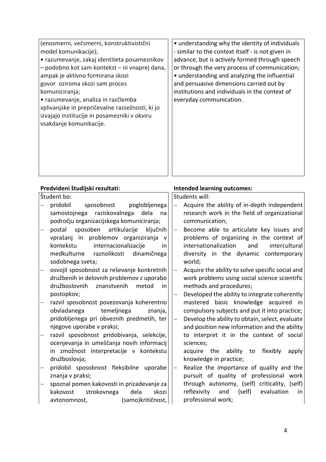| (enosmerni, večsmerni, konstruktivistični<br>model komunikacije);<br>• razumevanje, zakaj identiteta posameznikov<br>- podobno kot sam kontekst - ni vnaprej dana,<br>ampak je aktivno formirana skozi<br>govor oziroma skozi sam proces<br>komuniciranja;<br>· razumevanje, analiza in razčlemba<br>vplivanjske in prepričevalne razsežnosti, ki jo<br>izvajajo institucije in posamezniki v okviru<br>vsakdanje komunikacije. | • understanding why the identity of individuals<br>- similar to the context itself - is not given in<br>advance, but is actively formed through speech<br>or through the very process of communication;<br>• understanding and analyzing the influential<br>and persuasive dimensions carried out by<br>institutions and individuals in the context of<br>everyday communication. |
|---------------------------------------------------------------------------------------------------------------------------------------------------------------------------------------------------------------------------------------------------------------------------------------------------------------------------------------------------------------------------------------------------------------------------------|-----------------------------------------------------------------------------------------------------------------------------------------------------------------------------------------------------------------------------------------------------------------------------------------------------------------------------------------------------------------------------------|
| Predvideni študijski rezultati:                                                                                                                                                                                                                                                                                                                                                                                                 | <b>Intended learning outcomes:</b>                                                                                                                                                                                                                                                                                                                                                |
| Študent bo:                                                                                                                                                                                                                                                                                                                                                                                                                     | Students will:                                                                                                                                                                                                                                                                                                                                                                    |
| pridobil<br>sposobnost<br>poglobljenega                                                                                                                                                                                                                                                                                                                                                                                         | Acquire the ability of in-depth independent<br>$\overline{\phantom{0}}$                                                                                                                                                                                                                                                                                                           |
| raziskovalnega<br>samostojnega<br>dela<br>na                                                                                                                                                                                                                                                                                                                                                                                    | research work in the field of organizational                                                                                                                                                                                                                                                                                                                                      |
| področju organizacijskega komuniciranja;                                                                                                                                                                                                                                                                                                                                                                                        | communication;                                                                                                                                                                                                                                                                                                                                                                    |
| sposoben<br>artikulacije<br>postal<br>ključnih                                                                                                                                                                                                                                                                                                                                                                                  | Become able to articulate key issues and                                                                                                                                                                                                                                                                                                                                          |
| vprašanj in problemov organiziranja<br>V                                                                                                                                                                                                                                                                                                                                                                                        | problems of organizing in the context of                                                                                                                                                                                                                                                                                                                                          |
| kontekstu<br>internacionalizacije<br>in                                                                                                                                                                                                                                                                                                                                                                                         | internationalization<br>intercultural<br>and                                                                                                                                                                                                                                                                                                                                      |
| medkulturne<br>raznolikosti<br>dinamičnega                                                                                                                                                                                                                                                                                                                                                                                      | diversity in the dynamic contemporary                                                                                                                                                                                                                                                                                                                                             |
| sodobnega sveta;                                                                                                                                                                                                                                                                                                                                                                                                                | world;                                                                                                                                                                                                                                                                                                                                                                            |
|                                                                                                                                                                                                                                                                                                                                                                                                                                 |                                                                                                                                                                                                                                                                                                                                                                                   |
| osvojil sposobnost za reševanje konkretnih                                                                                                                                                                                                                                                                                                                                                                                      | Acquire the ability to solve specific social and                                                                                                                                                                                                                                                                                                                                  |
| družbenih in delovnih problemov z uporabo                                                                                                                                                                                                                                                                                                                                                                                       | work problems using social science scientific                                                                                                                                                                                                                                                                                                                                     |
| družboslovnih<br>znanstvenih<br>metod<br>in                                                                                                                                                                                                                                                                                                                                                                                     | methods and procedures;                                                                                                                                                                                                                                                                                                                                                           |
| postopkov;                                                                                                                                                                                                                                                                                                                                                                                                                      | Developed the ability to integrate coherently                                                                                                                                                                                                                                                                                                                                     |
| razvil sposobnost povezovanja koherentno                                                                                                                                                                                                                                                                                                                                                                                        | basic knowledge acquired in<br>mastered                                                                                                                                                                                                                                                                                                                                           |
| obvladanega<br>temeljnega<br>znanja,                                                                                                                                                                                                                                                                                                                                                                                            | compulsory subjects and put it into practice;                                                                                                                                                                                                                                                                                                                                     |
| pridobljenega pri obveznih predmetih, ter                                                                                                                                                                                                                                                                                                                                                                                       | Develop the ability to obtain, select, evaluate<br>$\qquad \qquad -$                                                                                                                                                                                                                                                                                                              |
| njegove uporabe v praksi;                                                                                                                                                                                                                                                                                                                                                                                                       | and position new information and the ability                                                                                                                                                                                                                                                                                                                                      |
| razvil sposobnost pridobivanja, selekcije,                                                                                                                                                                                                                                                                                                                                                                                      | to interpret it in the context of social                                                                                                                                                                                                                                                                                                                                          |
| ocenjevanja in umeščanja novih informacij                                                                                                                                                                                                                                                                                                                                                                                       | sciences;                                                                                                                                                                                                                                                                                                                                                                         |
| in zmožnost interpretacije v kontekstu                                                                                                                                                                                                                                                                                                                                                                                          | acquire the<br>ability to<br>flexibly<br>apply                                                                                                                                                                                                                                                                                                                                    |
| družboslovja;                                                                                                                                                                                                                                                                                                                                                                                                                   | knowledge in practice;                                                                                                                                                                                                                                                                                                                                                            |
| pridobil sposobnost fleksibilne uporabe                                                                                                                                                                                                                                                                                                                                                                                         | Realize the importance of quality and the<br>$\qquad \qquad -$                                                                                                                                                                                                                                                                                                                    |
| znanja v praksi;                                                                                                                                                                                                                                                                                                                                                                                                                | pursuit of quality of professional work                                                                                                                                                                                                                                                                                                                                           |
| spoznal pomen kakovosti in prizadevanje za                                                                                                                                                                                                                                                                                                                                                                                      | through autonomy, (self) criticality, (self)                                                                                                                                                                                                                                                                                                                                      |
| strokovnega<br>dela<br>skozi<br>kakovost                                                                                                                                                                                                                                                                                                                                                                                        | reflexivity<br>and<br>(self)<br>evaluation<br>in                                                                                                                                                                                                                                                                                                                                  |
| (samo)kritičnost,<br>avtonomnost,                                                                                                                                                                                                                                                                                                                                                                                               | professional work;                                                                                                                                                                                                                                                                                                                                                                |
|                                                                                                                                                                                                                                                                                                                                                                                                                                 |                                                                                                                                                                                                                                                                                                                                                                                   |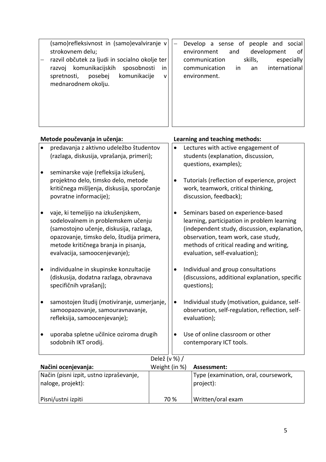|           | (samo)refleksivnost in (samo)evalviranje v<br>strokovnem delu;<br>razvil občutek za ljudi in socialno okolje ter<br>komunikacijskih<br>sposobnosti<br>razvoj<br>in<br>komunikacije<br>spretnosti,<br>posebej<br>$\mathsf{V}$<br>mednarodnem okolju. |           | Develop a sense of people and social<br>development<br>environment<br>and<br>of<br>skills,<br>especially<br>communication<br>international<br>communication<br>in<br>an<br>environment.                                                               |
|-----------|-----------------------------------------------------------------------------------------------------------------------------------------------------------------------------------------------------------------------------------------------------|-----------|-------------------------------------------------------------------------------------------------------------------------------------------------------------------------------------------------------------------------------------------------------|
|           | Metode poučevanja in učenja:                                                                                                                                                                                                                        |           | Learning and teaching methods:                                                                                                                                                                                                                        |
|           | predavanja z aktivno udeležbo študentov<br>(razlaga, diskusija, vprašanja, primeri);                                                                                                                                                                | $\bullet$ | Lectures with active engagement of<br>students (explanation, discussion,<br>questions, examples);                                                                                                                                                     |
| $\bullet$ | seminarske vaje (refleksija izkušenj,<br>projektno delo, timsko delo, metode<br>kritičnega mišljenja, diskusija, sporočanje<br>povratne informacije);                                                                                               | $\bullet$ | Tutorials (reflection of experience, project<br>work, teamwork, critical thinking,<br>discussion, feedback);                                                                                                                                          |
|           | vaje, ki temeljijo na izkušenjskem,<br>sodelovalnem in problemskem učenju<br>(samostojno učenje, diskusija, razlaga,<br>opazovanje, timsko delo, študija primera,<br>metode kritičnega branja in pisanja,<br>evalvacija, samoocenjevanje);          |           | Seminars based on experience-based<br>learning, participation in problem learning<br>(independent study, discussion, explanation,<br>observation, team work, case study,<br>methods of critical reading and writing,<br>evaluation, self-evaluation); |
| $\bullet$ | individualne in skupinske konzultacije<br>(diskusija, dodatna razlaga, obravnava<br>specifičnih vprašanj);                                                                                                                                          |           | Individual and group consultations<br>(discussions, additional explanation, specific<br>questions);                                                                                                                                                   |

- samostojen študij (motiviranje, usmerjanje, samoopazovanje, samouravnavanje, refleksija, samoocenjevanje);
- uporaba spletne učilnice oziroma drugih sodobnih IKT orodij.
- $\bullet$  Individual study (motivation, guidance, selfobservation, self-regulation, reflection, selfevaluation);
- Use of online classroom or other contemporary ICT tools.

|                                                              | Delež (v %) / |                                                   |
|--------------------------------------------------------------|---------------|---------------------------------------------------|
| Načini ocenjevanja:                                          | Weight (in %) | Assessment:                                       |
| Način (pisni izpit, ustno izpraševanje,<br>naloge, projekt): |               | Type (examination, oral, coursework,<br>project): |
| Pisni/ustni izpiti                                           | 70 %          | Written/oral exam                                 |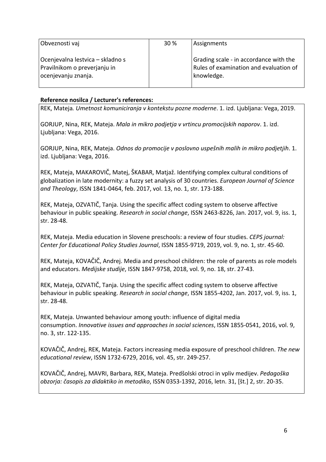| Obveznosti vaj                                                                          | 30 % | Assignments                                                                                    |
|-----------------------------------------------------------------------------------------|------|------------------------------------------------------------------------------------------------|
| Ocenjevalna lestvica – skladno s<br>Pravilnikom o preverjanju in<br>ocenjevanju znanja. |      | Grading scale - in accordance with the<br>Rules of examination and evaluation of<br>knowledge. |

#### **Reference nosilca / Lecturer's references:**

REK, Mateja*. Umetnost komuniciranja v kontekstu pozne moderne*. 1. izd. Ljubljana: Vega, 2019.

GORJUP, Nina, REK, Mateja. *Mala in mikro podjetja v vrtincu promocijskih naporov*. 1. izd. Ljubljana: Vega, 2016.

GORJUP, Nina, REK, Mateja. *Odnos do promocije v poslovno uspešnih malih in mikro podjetjih*. 1. izd. Ljubljana: Vega, 2016.

REK, Mateja, MAKAROVIČ, Matej, ŠKABAR, Matjaž. Identifying complex cultural conditions of globalization in late modernity: a fuzzy set analysis of 30 countries. *European Journal of Science and Theology*, ISSN 1841-0464, feb. 2017, vol. 13, no. 1, str. 173-188.

REK, Mateja, OZVATIČ, Tanja. Using the specific affect coding system to observe affective behaviour in public speaking. *Research in social change*, ISSN 2463-8226, Jan. 2017, vol. 9, iss. 1, str. 28-48.

REK, Mateja. Media education in Slovene preschools: a review of four studies. *CEPS journal: Center for Educational Policy Studies Journal*, ISSN 1855-9719, 2019, vol. 9, no. 1, str. 45-60.

REK, Mateja, KOVAČIČ, Andrej. Media and preschool children: the role of parents as role models and educators. *Medijske studije*, ISSN 1847-9758, 2018, vol. 9, no. 18, str. 27-43.

REK, Mateja, OZVATIČ, Tanja. Using the specific affect coding system to observe affective behaviour in public speaking. *Research in social change*, ISSN 1855-4202, Jan. 2017, vol. 9, iss. 1, str. 28-48.

REK, Mateja. Unwanted behaviour among youth: influence of digital media consumption. *Innovative issues and approaches in social sciences*, ISSN 1855-0541, 2016, vol. 9, no. 3, str. 122-135.

KOVAČIČ, Andrej, REK, Mateja. Factors increasing media exposure of preschool children. *The new educational review*, ISSN 1732-6729, 2016, vol. 45, str. 249-257.

KOVAČIČ, Andrej, MAVRI, Barbara, REK, Mateja. Predšolski otroci in vpliv medijev. *Pedagoška obzorja: časopis za didaktiko in metodiko*, ISSN 0353-1392, 2016, letn. 31, [št.] 2, str. 20-35.